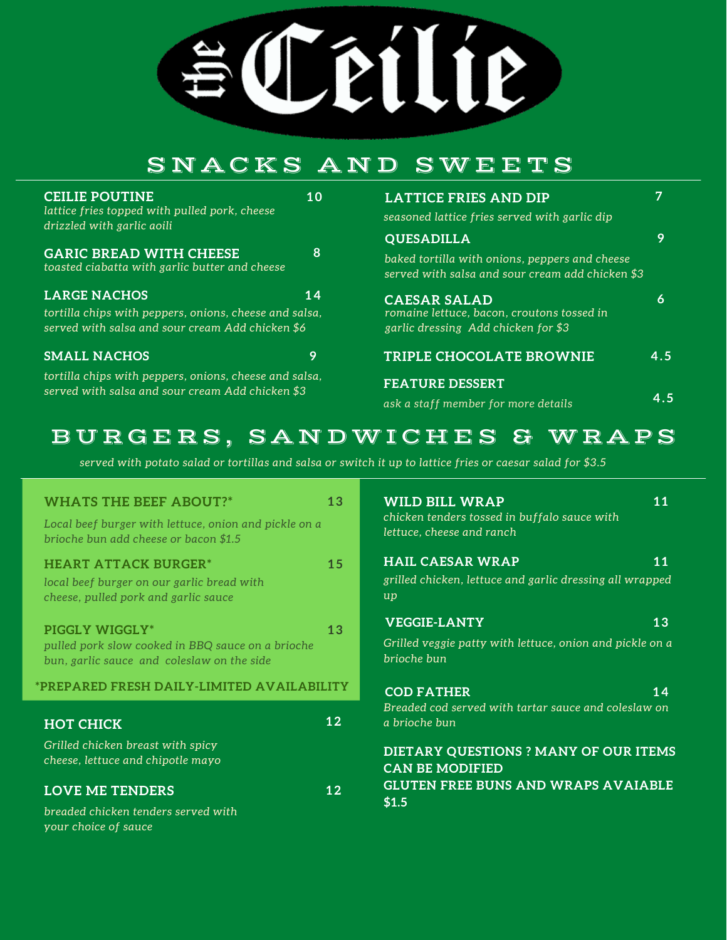SCEILIE

# SNACKS AND SWE E T S

| <b>CEILIE POUTINE</b><br>lattice fries topped with pulled pork, cheese<br>drizzled with garlic aoili                              | 10 | <b>LATTICE FRIES AND DIP</b><br>seasoned lattice fries served with garlic dip                            |               |
|-----------------------------------------------------------------------------------------------------------------------------------|----|----------------------------------------------------------------------------------------------------------|---------------|
|                                                                                                                                   |    | <b>QUESADILLA</b>                                                                                        | 9             |
| <b>GARIC BREAD WITH CHEESE</b><br>toasted ciabatta with garlic butter and cheese                                                  | 8  | baked tortilla with onions, peppers and cheese<br>served with salsa and sour cream add chicken \$3       |               |
| <b>LARGE NACHOS</b><br>tortilla chips with peppers, onions, cheese and salsa,<br>served with salsa and sour cream Add chicken \$6 | 14 | <b>CAESAR SALAD</b><br>romaine lettuce, bacon, croutons tossed in<br>garlic dressing Add chicken for \$3 | 6             |
| <b>SMALL NACHOS</b><br>tortilla chips with peppers, onions, cheese and salsa,                                                     | 9  | <b>TRIPLE CHOCOLATE BROWNIE</b><br><b>FEATURE DESSERT</b>                                                | 4.5           |
| served with salsa and sour cream Add chicken \$3                                                                                  |    | ask a staff member for more details                                                                      | $4.5^{\circ}$ |

# BURGERS, SANDWICHES & WRAPS

served with potato salad or tortillas and salsa or switch it up to lattice fries or caesar salad for \$3.5

| <b>WHATS THE BEEF ABOUT?*</b>                                                                                     | 13                                               | <b>WILD BILL WRAP</b><br>11                                                                               |  |
|-------------------------------------------------------------------------------------------------------------------|--------------------------------------------------|-----------------------------------------------------------------------------------------------------------|--|
| Local beef burger with lettuce, onion and pickle on a<br>brioche bun add cheese or bacon \$1.5                    |                                                  | chicken tenders tossed in buffalo sauce with<br>lettuce, cheese and ranch                                 |  |
| <b>HEART ATTACK BURGER*</b><br>local beef burger on our garlic bread with<br>cheese, pulled pork and garlic sauce | 15                                               | <b>HAIL CAESAR WRAP</b><br>11<br>grilled chicken, lettuce and garlic dressing all wrapped<br>$\mathbf{u}$ |  |
| PIGGLY WIGGLY*                                                                                                    | 13                                               | <b>VEGGIE-LANTY</b><br>13                                                                                 |  |
| pulled pork slow cooked in BBQ sauce on a brioche<br>bun, garlic sauce and coleslaw on the side                   |                                                  | Grilled veggie patty with lettuce, onion and pickle on a<br>brioche bun                                   |  |
| *PREPARED FRESH DAILY-LIMITED AVAILABILITY                                                                        |                                                  | <b>COD FATHER</b><br>14                                                                                   |  |
| <b>HOT CHICK</b>                                                                                                  | 12                                               | Breaded cod served with tartar sauce and coleslaw on<br>a brioche bun                                     |  |
| Grilled chicken breast with spicy<br>cheese, lettuce and chipotle mayo                                            |                                                  | DIETARY QUESTIONS ? MANY OF OUR ITEMS<br><b>CAN BE MODIFIED</b>                                           |  |
| <b>LOVE ME TENDERS</b>                                                                                            | <b>GLUTEN FREE BUNS AND WRAPS AVAIABLE</b><br>12 |                                                                                                           |  |
| breaded chicken tenders served with<br>your choice of sauce                                                       |                                                  | \$1.5                                                                                                     |  |